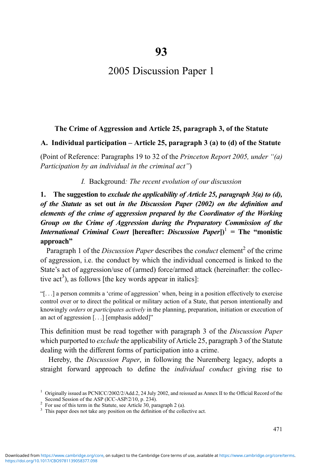# 2005 Discussion Paper 1

#### The Crime of Aggression and Article 25, paragraph 3, of the Statute

#### A. Individual participation – Article 25, paragraph 3 (a) to (d) of the Statute

(Point of Reference: Paragraphs 19 to 32 of the Princeton Report 2005, under "(a) Participation by an individual in the criminal act")

I. Background: The recent evolution of our discussion

1. The suggestion to exclude the applicability of Article 25, paragraph  $3(a)$  to (d), of the Statute as set out in the Discussion Paper (2002) on the definition and elements of the crime of aggression prepared by the Coordinator of the Working Group on the Crime of Aggression during the Preparatory Commission of the International Criminal Court [hereafter: Discussion Paper])<sup>1</sup> = The "monistic approach"

Paragraph 1 of the *Discussion Paper* describes the *conduct* element<sup>2</sup> of the crime of aggression, i.e. the conduct by which the individual concerned is linked to the State's act of aggression/use of (armed) force/armed attack (hereinafter: the collective act<sup>3</sup>), as follows [the key words appear in italics]:

"[...] a person commits a 'crime of aggression' when, being in a position effectively to exercise control over or to direct the political or military action of a State, that person intentionally and knowingly orders or participates actively in the planning, preparation, initiation or execution of an act of aggression [...] [emphasis added]"

This definition must be read together with paragraph 3 of the Discussion Paper which purported to *exclude* the applicability of Article 25, paragraph 3 of the Statute dealing with the different forms of participation into a crime.

Hereby, the *Discussion Paper*, in following the Nuremberg legacy, adopts a straight forward approach to define the individual conduct giving rise to

<sup>&</sup>lt;sup>1</sup> Originally issued as PCNICC/2002/2/Add.2, 24 July 2002, and reissued as Annex II to the Official Record of the Second Session of the ASP (ICC-ASP/2/10, p. 234).

 $2^2$  For use of this term in the Statute, see Article 30, paragraph 2 (a).

<sup>&</sup>lt;sup>3</sup> This paper does not take any position on the definition of the collective act.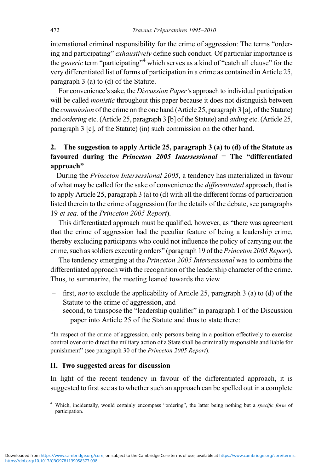international criminal responsibility for the crime of aggression: The terms "ordering and participating" exhaustively define such conduct. Of particular importance is the *generic* term "participating"<sup>4</sup> which serves as a kind of "catch all clause" for the very differentiated list of forms of participation in a crime as contained in Article 25, paragraph 3 (a) to (d) of the Statute.

For convenience's sake, the *Discussion Paper's* approach to individual participation will be called *monistic* throughout this paper because it does not distinguish between the commission of the crime on the one hand (Article 25, paragraph 3 [a], of the Statute) and ordering etc. (Article 25, paragraph 3 [b] of the Statute) and aiding etc. (Article 25, paragraph 3 [c], of the Statute) (in) such commission on the other hand.

## 2. The suggestion to apply Article 25, paragraph 3 (a) to (d) of the Statute as favoured during the Princeton 2005 Intersessional = The "differentiated approach"

During the Princeton Intersessional 2005, a tendency has materialized in favour of what may be called for the sake of convenience the differentiated approach, that is to apply Article 25, paragraph 3 (a) to (d) with all the different forms of participation listed therein to the crime of aggression (for the details of the debate, see paragraphs 19 et seq. of the Princeton 2005 Report).

This differentiated approach must be qualified, however, as "there was agreement that the crime of aggression had the peculiar feature of being a leadership crime, thereby excluding participants who could not influence the policy of carrying out the crime, such as soldiers executing orders" (paragraph 19 of the *Princeton 2005 Report*).

The tendency emerging at the *Princeton 2005 Intersessional* was to combine the differentiated approach with the recognition of the leadership character of the crime. Thus, to summarize, the meeting leaned towards the view

- first, *not* to exclude the applicability of Article 25, paragraph 3 (a) to (d) of the Statute to the crime of aggression, and
- second, to transpose the "leadership qualifier" in paragraph 1 of the Discussion paper into Article 25 of the Statute and thus to state there:

"In respect of the crime of aggression, only persons being in a position effectively to exercise control over or to direct the military action of a State shall be criminally responsible and liable for punishment" (see paragraph 30 of the Princeton 2005 Report).

#### II. Two suggested areas for discussion

In light of the recent tendency in favour of the differentiated approach, it is suggested to first see as to whether such an approach can be spelled out in a complete

<sup>&</sup>lt;sup>4</sup> Which, incidentally, would certainly encompass "ordering", the latter being nothing but a specific form of participation.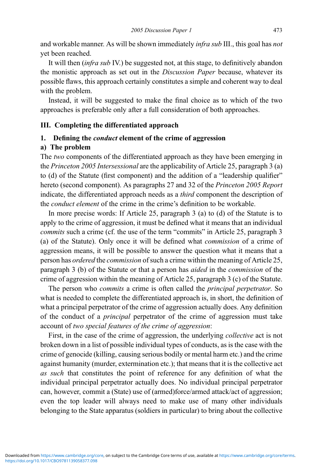and workable manner. As will be shown immediately infra sub III., this goal has not yet been reached.

It will then *(infra sub IV.)* be suggested not, at this stage, to definitively abandon the monistic approach as set out in the Discussion Paper because, whatever its possible flaws, this approach certainly constitutes a simple and coherent way to deal with the problem.

Instead, it will be suggested to make the final choice as to which of the two approaches is preferable only after a full consideration of both approaches.

#### III. Completing the differentiated approach

#### 1. Defining the conduct element of the crime of aggression

#### a) The problem

The two components of the differentiated approach as they have been emerging in the Princeton 2005 Intersessional are the applicability of Article 25, paragraph 3 (a) to (d) of the Statute (first component) and the addition of a "leadership qualifier" hereto (second component). As paragraphs 27 and 32 of the Princeton 2005 Report indicate, the differentiated approach needs as a third component the description of the conduct element of the crime in the crime's definition to be workable.

In more precise words: If Article 25, paragraph 3 (a) to (d) of the Statute is to apply to the crime of aggression, it must be defined what it means that an individual commits such a crime (cf. the use of the term "commits" in Article 25, paragraph 3 (a) of the Statute). Only once it will be defined what commission of a crime of aggression means, it will be possible to answer the question what it means that a person has ordered the commission of such a crime within the meaning of Article 25, paragraph 3 (b) of the Statute or that a person has aided in the commission of the crime of aggression within the meaning of Article 25, paragraph 3 (c) of the Statute.

The person who *commits* a crime is often called the *principal perpetrator*. So what is needed to complete the differentiated approach is, in short, the definition of what a principal perpetrator of the crime of aggression actually does. Any definition of the conduct of a principal perpetrator of the crime of aggression must take account of two special features of the crime of aggression:

First, in the case of the crime of aggression, the underlying *collective* act is not broken down in a list of possible individual types of conducts, as is the case with the crime of genocide (killing, causing serious bodily or mental harm etc.) and the crime against humanity (murder, extermination etc.); that means that it is the collective act as such that constitutes the point of reference for any definition of what the individual principal perpetrator actually does. No individual principal perpetrator can, however, commit a (State) use of (armed)force/armed attack/act of aggression; even the top leader will always need to make use of many other individuals belonging to the State apparatus (soldiers in particular) to bring about the collective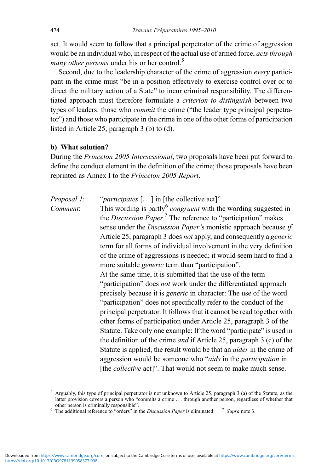act. It would seem to follow that a principal perpetrator of the crime of aggression would be an individual who, in respect of the actual use of armed force, *acts through many other persons* under his or her control.<sup>5</sup>

Second, due to the leadership character of the crime of aggression every participant in the crime must "be in a position effectively to exercise control over or to direct the military action of a State" to incur criminal responsibility. The differentiated approach must therefore formulate a criterion to distinguish between two types of leaders: those who commit the crime ("the leader type principal perpetrator") and those who participate in the crime in one of the other forms of participation listed in Article 25, paragraph 3 (b) to (d).

#### b) What solution?

During the Princeton 2005 Intersessional, two proposals have been put forward to define the conduct element in the definition of the crime; those proposals have been reprinted as Annex I to the Princeton 2005 Report.

Proposal 1: "participates [...] in [the collective act]" *Comment*: This wording is partly<sup>6</sup> congruent with the wording suggested in the *Discussion Paper*.<sup>7</sup> The reference to "participation" makes sense under the Discussion Paper's monistic approach because if Article 25, paragraph 3 does not apply, and consequently a generic term for all forms of individual involvement in the very definition of the crime of aggressions is needed; it would seem hard to find a more suitable *generic* term than "participation". At the same time, it is submitted that the use of the term "participation" does *not* work under the differentiated approach precisely because it is generic in character: The use of the word "participation" does not specifically refer to the conduct of the principal perpetrator. It follows that it cannot be read together with other forms of participation under Article 25, paragraph 3 of the Statute. Take only one example: If the word "participate" is used in the definition of the crime and if Article 25, paragraph 3 (c) of the Statute is applied, the result would be that an aider in the crime of aggression would be someone who "aids in the participation in [the *collective* act]". That would not seem to make much sense.

 $5$  Arguably, this type of principal perpetrator is not unknown to Article 25, paragraph 3 (a) of the Statute, as the latter provision covers a person who "commits a crime ... through another person, regardless of whether that other person is criminally responsible".

<sup>&</sup>lt;sup>6</sup> The additional reference to "orders" in the Discussion Paper is eliminated. <sup>7</sup> Supra note 3.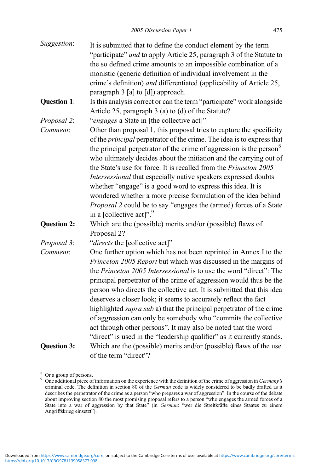| Suggestion:        | It is submitted that to define the conduct element by the term<br>"participate" and to apply Article 25, paragraph 3 of the Statute to<br>the so defined crime amounts to an impossible combination of a<br>monistic (generic definition of individual involvement in the<br>crime's definition) and differentiated (applicability of Article 25,                                                                                                                                                                                                                                                                                                                                                                                |
|--------------------|----------------------------------------------------------------------------------------------------------------------------------------------------------------------------------------------------------------------------------------------------------------------------------------------------------------------------------------------------------------------------------------------------------------------------------------------------------------------------------------------------------------------------------------------------------------------------------------------------------------------------------------------------------------------------------------------------------------------------------|
|                    | paragraph 3 [a] to [d]) approach.                                                                                                                                                                                                                                                                                                                                                                                                                                                                                                                                                                                                                                                                                                |
| <b>Question 1:</b> | Is this analysis correct or can the term "participate" work alongside                                                                                                                                                                                                                                                                                                                                                                                                                                                                                                                                                                                                                                                            |
|                    | Article 25, paragraph 3 (a) to (d) of the Statute?                                                                                                                                                                                                                                                                                                                                                                                                                                                                                                                                                                                                                                                                               |
| Proposal 2:        | "engages a State in [the collective act]"                                                                                                                                                                                                                                                                                                                                                                                                                                                                                                                                                                                                                                                                                        |
| Comment:           | Other than proposal 1, this proposal tries to capture the specificity<br>of the <i>principal</i> perpetrator of the crime. The idea is to express that<br>the principal perpetrator of the crime of aggression is the person <sup>8</sup><br>who ultimately decides about the initiation and the carrying out of<br>the State's use for force. It is recalled from the <i>Princeton 2005</i><br>Intersessional that especially native speakers expressed doubts<br>whether "engage" is a good word to express this idea. It is<br>wondered whether a more precise formulation of the idea behind<br>Proposal 2 could be to say "engages the (armed) forces of a State<br>in a [collective act]". $9$                             |
|                    | Which are the (possible) merits and/or (possible) flaws of                                                                                                                                                                                                                                                                                                                                                                                                                                                                                                                                                                                                                                                                       |
| <b>Question 2:</b> | Proposal 2?                                                                                                                                                                                                                                                                                                                                                                                                                                                                                                                                                                                                                                                                                                                      |
| Proposal 3:        | "directs the [collective act]"                                                                                                                                                                                                                                                                                                                                                                                                                                                                                                                                                                                                                                                                                                   |
| Comment:           | One further option which has not been reprinted in Annex I to the<br>Princeton 2005 Report but which was discussed in the margins of<br>the <i>Princeton 2005 Intersessional</i> is to use the word "direct": The<br>principal perpetrator of the crime of aggression would thus be the<br>person who directs the collective act. It is submitted that this idea<br>deserves a closer look; it seems to accurately reflect the fact<br>highlighted <i>supra sub</i> a) that the principal perpetrator of the crime<br>of aggression can only be somebody who "commits the collective<br>act through other persons". It may also be noted that the word<br>"direct" is used in the "leadership qualifier" as it currently stands. |
| <b>Question 3:</b> | Which are the (possible) merits and/or (possible) flaws of the use                                                                                                                                                                                                                                                                                                                                                                                                                                                                                                                                                                                                                                                               |
|                    | of the term "direct"?                                                                                                                                                                                                                                                                                                                                                                                                                                                                                                                                                                                                                                                                                                            |

<sup>8</sup> Or a group of persons.

<sup>&</sup>lt;sup>9</sup> One additional piece of information on the experience with the definition of the crime of aggression in Germany's criminal code. The definition in section 80 of the German code is widely considered to be badly drafted as it describes the perpetrator of the crime as a person "who prepares a war of aggression". In the course of the debate about improving section 80 the most promising proposal refers to a person "who engages the armed forces of a State into a war of aggression by that State" (in German: "wer die Streitkräfte eines Staates zu einem Angriffskrieg einsetzt").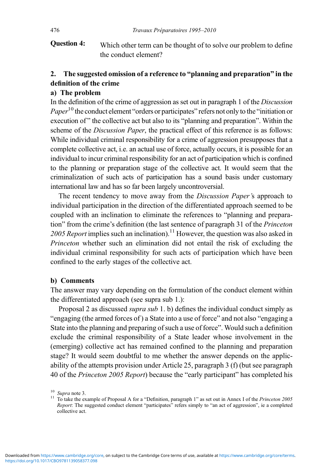Question 4: Which other term can be thought of to solve our problem to define the conduct element?

# 2. The suggested omission of a reference to "planning and preparation" in the definition of the crime

#### a) The problem

In the definition of the crime of aggression as set out in paragraph 1 of the Discussion *Paper*<sup>10</sup> the conduct element "orders or participates" refers not only to the "initiation or execution of " the collective act but also to its "planning and preparation". Within the scheme of the *Discussion Paper*, the practical effect of this reference is as follows: While individual criminal responsibility for a crime of aggression presupposes that a complete collective act, i.e. an actual use of force, actually occurs, it is possible for an individual to incur criminal responsibility for an act of participation which is confined to the planning or preparation stage of the collective act. It would seem that the criminalization of such acts of participation has a sound basis under customary international law and has so far been largely uncontroversial.

The recent tendency to move away from the *Discussion Paper's* approach to individual participation in the direction of the differentiated approach seemed to be coupled with an inclination to eliminate the references to "planning and preparation" from the crime's definition (the last sentence of paragraph 31 of the Princeton 2005 Report implies such an inclination).<sup>11</sup> However, the question was also asked in Princeton whether such an elimination did not entail the risk of excluding the individual criminal responsibility for such acts of participation which have been confined to the early stages of the collective act.

#### b) Comments

The answer may vary depending on the formulation of the conduct element within the differentiated approach (see supra sub 1.):

Proposal 2 as discussed *supra sub* 1, b) defines the individual conduct simply as "engaging (the armed forces of ) a State into a use of force" and not also "engaging a State into the planning and preparing of such a use of force". Would such a definition exclude the criminal responsibility of a State leader whose involvement in the (emerging) collective act has remained confined to the planning and preparation stage? It would seem doubtful to me whether the answer depends on the applicability of the attempts provision under Article 25, paragraph 3 (f) (but see paragraph 40 of the Princeton 2005 Report) because the "early participant" has completed his

<sup>&</sup>lt;sup>10</sup> Supra note 3.

<sup>&</sup>lt;sup>11</sup> To take the example of Proposal A for a "Definition, paragraph 1" as set out in Annex I of the *Princeton 2005* Report: The suggested conduct element "participates" refers simply to "an act of aggression", ie a completed collective act.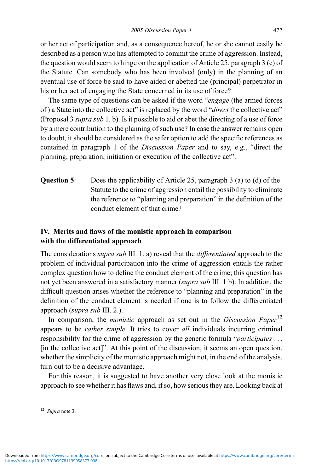or her act of participation and, as a consequence hereof, he or she cannot easily be described as a person who has attempted to commit the crime of aggression. Instead, the question would seem to hinge on the application of Article 25, paragraph 3 (c) of the Statute. Can somebody who has been involved (only) in the planning of an eventual use of force be said to have aided or abetted the (principal) perpetrator in his or her act of engaging the State concerned in its use of force?

The same type of questions can be asked if the word "*engage* (the armed forces of ) a State into the collective act" is replaced by the word "direct the collective act" (Proposal 3 supra sub 1. b). Is it possible to aid or abet the directing of a use of force by a mere contribution to the planning of such use? In case the answer remains open to doubt, it should be considered as the safer option to add the specific references as contained in paragraph 1 of the Discussion Paper and to say, e.g., "direct the planning, preparation, initiation or execution of the collective act".

Question 5: Does the applicability of Article 25, paragraph 3 (a) to (d) of the Statute to the crime of aggression entail the possibility to eliminate the reference to "planning and preparation" in the definition of the conduct element of that crime?

### IV. Merits and flaws of the monistic approach in comparison with the differentiated approach

The considerations *supra sub* III. 1. a) reveal that the *differentiated* approach to the problem of individual participation into the crime of aggression entails the rather complex question how to define the conduct element of the crime; this question has not yet been answered in a satisfactory manner (supra sub III. 1 b). In addition, the difficult question arises whether the reference to "planning and preparation" in the definition of the conduct element is needed if one is to follow the differentiated approach (supra sub III. 2.).

In comparison, the *monistic* approach as set out in the *Discussion Paper*<sup>12</sup> appears to be *rather simple*. It tries to cover *all* individuals incurring criminal responsibility for the crime of aggression by the generic formula "*participates* ... [in the collective act]". At this point of the discussion, it seems an open question, whether the simplicity of the monistic approach might not, in the end of the analysis, turn out to be a decisive advantage.

For this reason, it is suggested to have another very close look at the monistic approach to see whether it has flaws and, if so, how serious they are. Looking back at

 $12$  Supra note 3.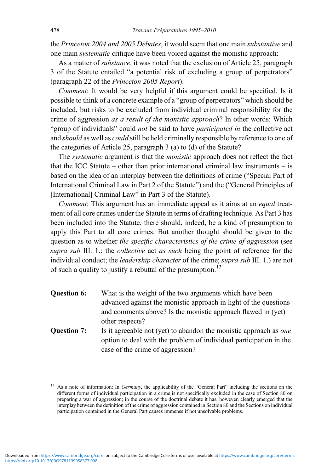the Princeton 2004 and 2005 Debates, it would seem that one main substantive and one main systematic critique have been voiced against the monistic approach:

As a matter of *substance*, it was noted that the exclusion of Article 25, paragraph 3 of the Statute entailed "a potential risk of excluding a group of perpetrators" (paragraph 22 of the Princeton 2005 Report).

Comment: It would be very helpful if this argument could be specified. Is it possible to think of a concrete example of a "group of perpetrators" which should be included, but risks to be excluded from individual criminal responsibility for the crime of aggression as a result of the monistic approach? In other words: Which "group of individuals" could not be said to have participated in the collective act and should as well as *could* still be held criminally responsible by reference to one of the categories of Article 25, paragraph 3 (a) to (d) of the Statute?

The *systematic* argument is that the *monistic* approach does not reflect the fact that the ICC Statute – other than prior international criminal law instruments – is based on the idea of an interplay between the definitions of crime ("Special Part of International Criminal Law in Part 2 of the Statute") and the ("General Principles of [International] Criminal Law" in Part 3 of the Statute).

Comment: This argument has an immediate appeal as it aims at an *equal* treatment of all core crimes under the Statute in terms of drafting technique. As Part 3 has been included into the Statute, there should, indeed, be a kind of presumption to apply this Part to all core crimes. But another thought should be given to the question as to whether the specific characteristics of the crime of aggression (see supra sub III. 1.: the *collective* act as such being the point of reference for the individual conduct; the *leadership character* of the crime; *supra sub* III. 1.) are not of such a quality to justify a rebuttal of the presumption.<sup>13</sup>

- **Question 6:** What is the weight of the two arguments which have been advanced against the monistic approach in light of the questions and comments above? Is the monistic approach flawed in (yet) other respects?
- **Question 7:** Is it agreeable not (yet) to abandon the monistic approach as *one* option to deal with the problem of individual participation in the case of the crime of aggression?

<sup>&</sup>lt;sup>13</sup> As a note of information: In *Germany*, the applicability of the "General Part" including the sections on the different forms of individual participation in a crime is not specifically excluded in the case of Section 80 on preparing a war of aggression; in the course of the doctrinal debate it has, however, clearly emerged that the interplay between the definition of the crime of aggression contained in Section 80 and the Sections on individual participation contained in the General Part causes immense if not unsolvable problems.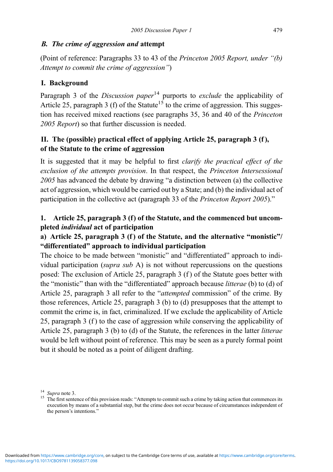### B. The crime of aggression and attempt

(Point of reference: Paragraphs 33 to 43 of the Princeton 2005 Report, under "(b) Attempt to commit the crime of aggression")

## I. Background

Paragraph 3 of the *Discussion paper*<sup>14</sup> purports to *exclude* the applicability of Article 25, paragraph 3 (f) of the Statute<sup>15</sup> to the crime of aggression. This suggestion has received mixed reactions (see paragraphs 35, 36 and 40 of the Princeton 2005 Report) so that further discussion is needed.

# II. The (possible) practical effect of applying Article 25, paragraph 3 (f ), of the Statute to the crime of aggression

It is suggested that it may be helpful to first clarify the practical effect of the exclusion of the attempts provision. In that respect, the Princeton Intersessional 2005 has advanced the debate by drawing "a distinction between (a) the collective act of aggression, which would be carried out by a State; and (b) the individual act of participation in the collective act (paragraph 33 of the *Princeton Report 2005*)."

# 1. Article 25, paragraph 3 (f) of the Statute, and the commenced but uncompleted individual act of participation

# a) Article 25, paragraph 3 (f) of the Statute, and the alternative "monistic"/ "differentiated" approach to individual participation

The choice to be made between "monistic" and "differentiated" approach to individual participation (supra sub A) is not without repercussions on the questions posed: The exclusion of Article 25, paragraph 3 (f ) of the Statute goes better with the "monistic" than with the "differentiated" approach because *litterae* (b) to (d) of Article 25, paragraph 3 all refer to the "attempted commission" of the crime. By those references, Article 25, paragraph 3 (b) to (d) presupposes that the attempt to commit the crime is, in fact, criminalized. If we exclude the applicability of Article 25, paragraph 3 (f ) to the case of aggression while conserving the applicability of Article 25, paragraph 3 (b) to (d) of the Statute, the references in the latter litterae would be left without point of reference. This may be seen as a purely formal point but it should be noted as a point of diligent drafting.

<sup>14</sup> Supra note 3.

<sup>&</sup>lt;sup>15</sup> The first sentence of this provision reads: "Attempts to commit such a crime by taking action that commences its execution by means of a substantial step, but the crime does not occur because of circumstances independent of the person's intentions."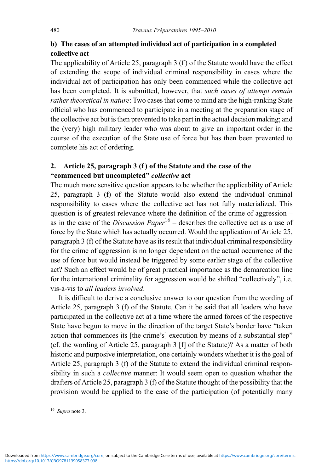### b) The cases of an attempted individual act of participation in a completed collective act

The applicability of Article 25, paragraph 3 (f ) of the Statute would have the effect of extending the scope of individual criminal responsibility in cases where the individual act of participation has only been commenced while the collective act has been completed. It is submitted, however, that such cases of attempt remain rather theoretical in nature: Two cases that come to mind are the high-ranking State official who has commenced to participate in a meeting at the preparation stage of the collective act but is then prevented to take part in the actual decision making; and the (very) high military leader who was about to give an important order in the course of the execution of the State use of force but has then been prevented to complete his act of ordering.

### 2. Article 25, paragraph 3 (f ) of the Statute and the case of the "commenced but uncompleted" collective act

The much more sensitive question appears to be whether the applicability of Article 25, paragraph 3 (f) of the Statute would also extend the individual criminal responsibility to cases where the collective act has not fully materialized. This question is of greatest relevance where the definition of the crime of aggression – as in the case of the *Discussion Paper*<sup>16</sup> – describes the collective act as a use of force by the State which has actually occurred. Would the application of Article 25, paragraph 3 (f) of the Statute have as its result that individual criminal responsibility for the crime of aggression is no longer dependent on the actual occurrence of the use of force but would instead be triggered by some earlier stage of the collective act? Such an effect would be of great practical importance as the demarcation line for the international criminality for aggression would be shifted "collectively", i.e. vis-à-vis to all leaders involved.

It is difficult to derive a conclusive answer to our question from the wording of Article 25, paragraph 3 (f) of the Statute. Can it be said that all leaders who have participated in the collective act at a time where the armed forces of the respective State have begun to move in the direction of the target State's border have "taken action that commences its [the crime's] execution by means of a substantial step" (cf. the wording of Article 25, paragraph 3 [f] of the Statute)? As a matter of both historic and purposive interpretation, one certainly wonders whether it is the goal of Article 25, paragraph 3 (f) of the Statute to extend the individual criminal responsibility in such a *collective* manner: It would seem open to question whether the drafters of Article 25, paragraph 3 (f) of the Statute thought of the possibility that the provision would be applied to the case of the participation (of potentially many

 $16$  Supra note 3.